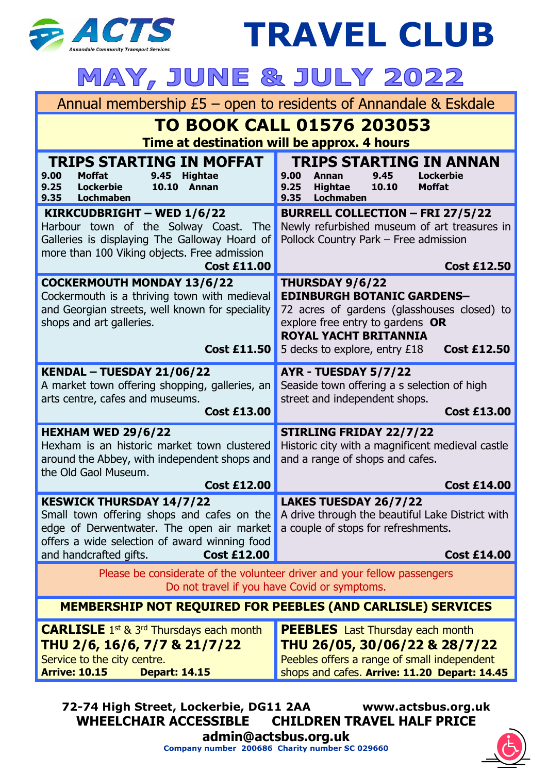

**TRAVEL CLUB MAY, JUNE & JULY 2022** Annual membership £5 – open to residents of Annandale & Eskdale **TO BOOK CALL 01576 203053 Time at destination will be approx. 4 hours TRIPS STARTING IN MOFFAT**<br>9.00 Moffat 9.45 Hightae **TRIPS STARTING IN ANNAN**<br>00 Annan 9.45 Lockerbie **9.00 Moffat 9.45 Hightae 9.00 Annan 9.45<br>9.25 Hightae 10.10 9.25 Lockerbie 10.10 Annan 9.25 Hightae 10.10 Moffat 9.35 Lochmaben 9.35 Lochmaben KIRKCUDBRIGHT – WED 1/6/22 BURRELL COLLECTION – FRI 27/5/22** Harbour town of the Solway Coast. The Newly refurbished museum of art treasures in Galleries is displaying The Galloway Hoard of Pollock Country Park – Free admission more than 100 Viking objects. Free admission **Cost £11.00 Cost £12.50 COCKERMOUTH MONDAY 13/6/22 THURSDAY 9/6/22** Cockermouth is a thriving town with medieval **EDINBURGH BOTANIC GARDENS–** and Georgian streets, well known for speciality 72 acres of gardens (glasshouses closed) to shops and art galleries. explore free entry to gardens **OR ROYAL YACHT BRITANNIA Cost £11.50** 5 decks to explore, entry £18 **Cost £12.50 KENDAL – TUESDAY 21/06/22 AYR - TUESDAY 5/7/22** A market town offering shopping, galleries, an Seaside town offering a s selection of high arts centre, cafes and museums. street and independent shops. **Cost £13.00 Cost £13.00 STIRLING FRIDAY 22/7/22 HEXHAM WED 29/6/22** Hexham is an historic market town clustered Historic city with a magnificent medieval castle around the Abbey, with independent shops and and a range of shops and cafes. the Old Gaol Museum. **Cost £12.00 Cost £14.00 KESWICK THURSDAY 14/7/22 LAKES TUESDAY 26/7/22** A drive through the beautiful Lake District with Small town offering shops and cafes on the edge of Derwentwater. The open air market a couple of stops for refreshments. offers a wide selection of award winning food and handcrafted gifts. **Cost £12.00 Cost £14.00** Please be considerate of the volunteer driver and your fellow passengers Do not travel if you have Covid or symptoms. **MEMBERSHIP NOT REQUIRED FOR PEEBLES (AND CARLISLE) SERVICES PEEBLES** Last Thursday each month **CARLISLE** 1<sup>st</sup> & 3<sup>rd</sup> Thursdays each month **THU 2/6, 16/6, 7/7 & 21/7/22 THU 26/05, 30/06/22 & 28/7/22** Peebles offers a range of small independent Service to the city centre. **Arrive: 10.15 Depart: 14.15** shops and cafes. **Arrive: 11.20 Depart: 14.45**

**72-74 High Street, Lockerbie, DG11 2AA www.actsbus.org.uk WHEELCHAIR ACCESSIBLE CHILDREN TRAVEL HALF PRICE [admin@actsbus.org.uk](mailto:admin@actsbus.org.uk)**

**Company number 200686 Charity number SC 029660**